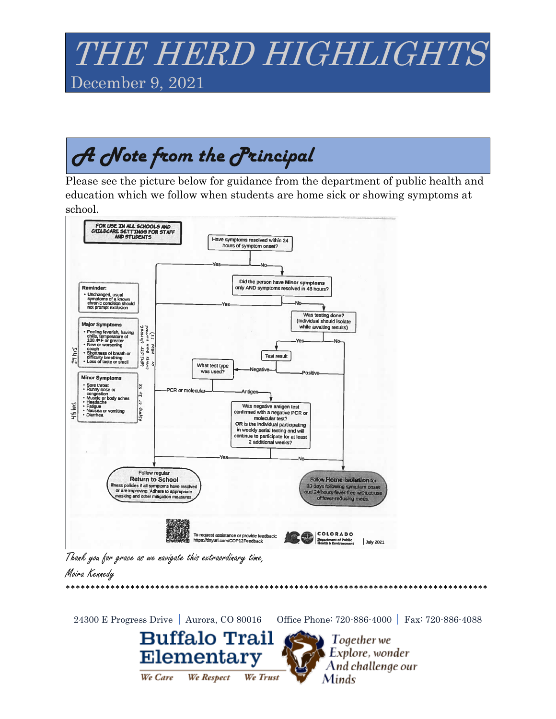## *THE HERD HIGHLIGHTS* December 9, 2021

# A Note from the *Principal*

Please see the picture below for guidance from the department of public health and education which we follow when students are home sick or showing symptoms at school.



Thank you for grace as we navigate this extraordinary time,

#### Moira Kennedy

24300 E Progress Drive | Aurora, CO 80016 | Office Phone: 720-886-4000 | Fax: 720-886-4088 **Buffalo Trail**  $\sum$  Together we Elementary Explore, wonder And challenge our We Respect We Care We Trust Minds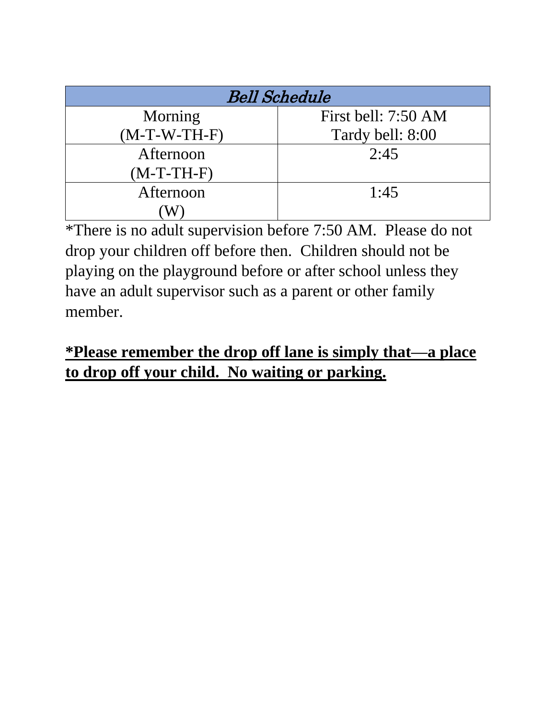| <b>Bell Schedule</b> |                     |
|----------------------|---------------------|
| Morning              | First bell: 7:50 AM |
| $(M-T-W-TH-F)$       | Tardy bell: 8:00    |
| Afternoon            | 2:45                |
| $(M-T-TH-F)$         |                     |
| Afternoon            | 1:45                |
|                      |                     |

\*There is no adult supervision before 7:50 AM. Please do not drop your children off before then. Children should not be playing on the playground before or after school unless they have an adult supervisor such as a parent or other family member.

### **\*Please remember the drop off lane is simply that—a place to drop off your child. No waiting or parking.**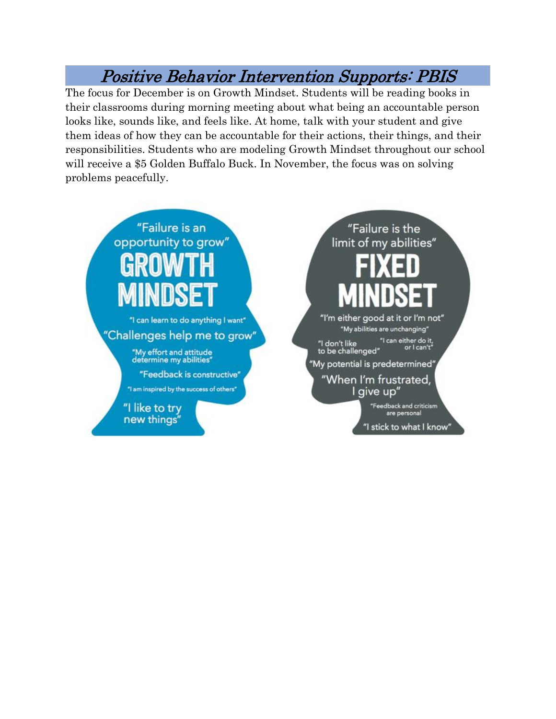#### Positive Behavior Intervention Supports: PBIS

The focus for December is on Growth Mindset. Students will be reading books in their classrooms during morning meeting about what being an accountable person looks like, sounds like, and feels like. At home, talk with your student and give them ideas of how they can be accountable for their actions, their things, and their responsibilities. Students who are modeling Growth Mindset throughout our school will receive a \$5 Golden Buffalo Buck. In November, the focus was on solving problems peacefully.



"I like to try new things"

"Failure is the limit of my abilities" "I'm either good at it or I'm not" "My abilities are unchanging" "I can either do it,<br>"or I can't "I don't like<br>to be challenged" "My potential is predetermined" "When I'm frustrated, l give up" "Feedback and criticism are personal

"I stick to what I know"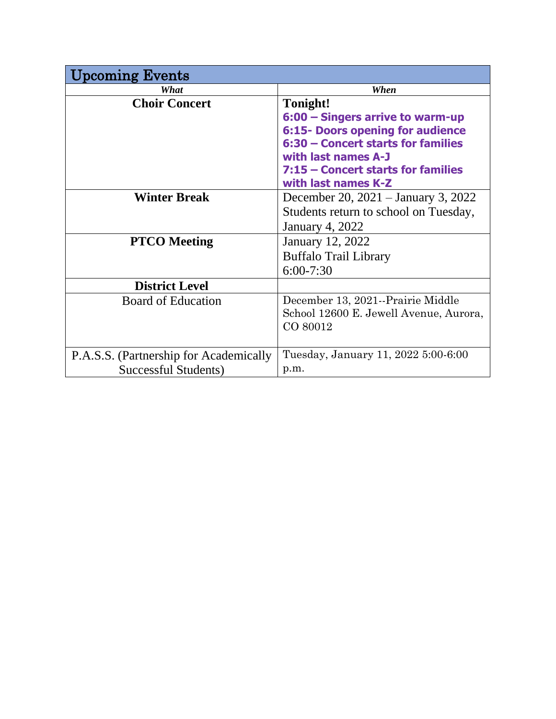| pcoming Events                         |                                        |
|----------------------------------------|----------------------------------------|
| What                                   | When                                   |
| <b>Choir Concert</b>                   | Tonight!                               |
|                                        | 6:00 - Singers arrive to warm-up       |
|                                        | 6:15- Doors opening for audience       |
|                                        | 6:30 - Concert starts for families     |
|                                        | with last names A-J                    |
|                                        | 7:15 – Concert starts for families     |
|                                        | with last names K-Z                    |
| <b>Winter Break</b>                    | December 20, 2021 – January 3, 2022    |
|                                        | Students return to school on Tuesday,  |
|                                        | <b>January 4, 2022</b>                 |
| <b>PTCO</b> Meeting                    | January 12, 2022                       |
|                                        | <b>Buffalo Trail Library</b>           |
|                                        | $6:00 - 7:30$                          |
| <b>District Level</b>                  |                                        |
| <b>Board of Education</b>              | December 13, 2021--Prairie Middle      |
|                                        | School 12600 E. Jewell Avenue, Aurora, |
|                                        | CO 80012                               |
|                                        |                                        |
| P.A.S.S. (Partnership for Academically | Tuesday, January 11, 2022 5:00-6:00    |
| Successful Students)                   | p.m.                                   |